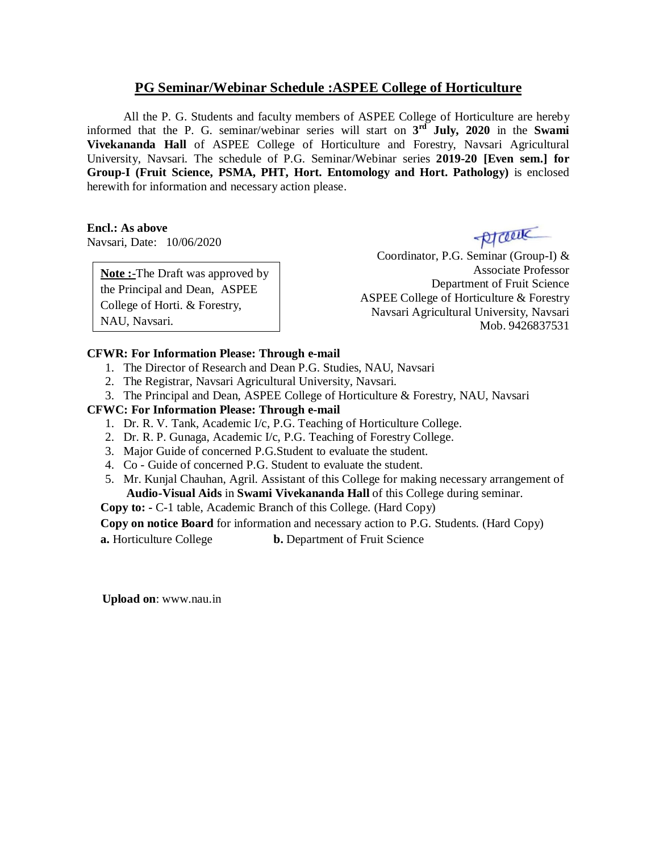## **PG Seminar/Webinar Schedule :ASPEE College of Horticulture**

All the P. G. Students and faculty members of ASPEE College of Horticulture are hereby informed that the P. G. seminar/webinar series will start on **3 rd July, 2020** in the **Swami Vivekananda Hall** of ASPEE College of Horticulture and Forestry, Navsari Agricultural University, Navsari. The schedule of P.G. Seminar/Webinar series **2019-20 [Even sem.] for Group-I (Fruit Science, PSMA, PHT, Hort. Entomology and Hort. Pathology)** is enclosed herewith for information and necessary action please.

**Encl.: As above**  $\frac{1}{\sqrt{2}}$  Navsari, Date: 10/06/2020

**Note :**-The Draft was approved by the Principal and Dean, ASPEE College of Horti. & Forestry, NAU, Navsari.

Coordinator, P.G. Seminar (Group-I) & Associate Professor Department of Fruit Science ASPEE College of Horticulture & Forestry Navsari Agricultural University, Navsari Mob. 9426837531

## **CFWR: For Information Please: Through e-mail**

- 1. The Director of Research and Dean P.G. Studies, NAU, Navsari
- 2. The Registrar, Navsari Agricultural University, Navsari.
- 3. The Principal and Dean, ASPEE College of Horticulture & Forestry, NAU, Navsari

## **CFWC: For Information Please: Through e-mail**

- 1. Dr. R. V. Tank, Academic I/c, P.G. Teaching of Horticulture College.
- 2. Dr. R. P. Gunaga, Academic I/c, P.G. Teaching of Forestry College.
- 3. Major Guide of concerned P.G.Student to evaluate the student.
- 4. Co Guide of concerned P.G. Student to evaluate the student.
- 5. Mr. Kunjal Chauhan, Agril. Assistant of this College for making necessary arrangement of **Audio-Visual Aids** in **Swami Vivekananda Hall** of this College during seminar.
- **Copy to: -** C-1 table, Academic Branch of this College. (Hard Copy)

**Copy on notice Board** for information and necessary action to P.G. Students. (Hard Copy)

**a.** Horticulture College **b.** Department of Fruit Science

 **Upload on**: www.nau.in